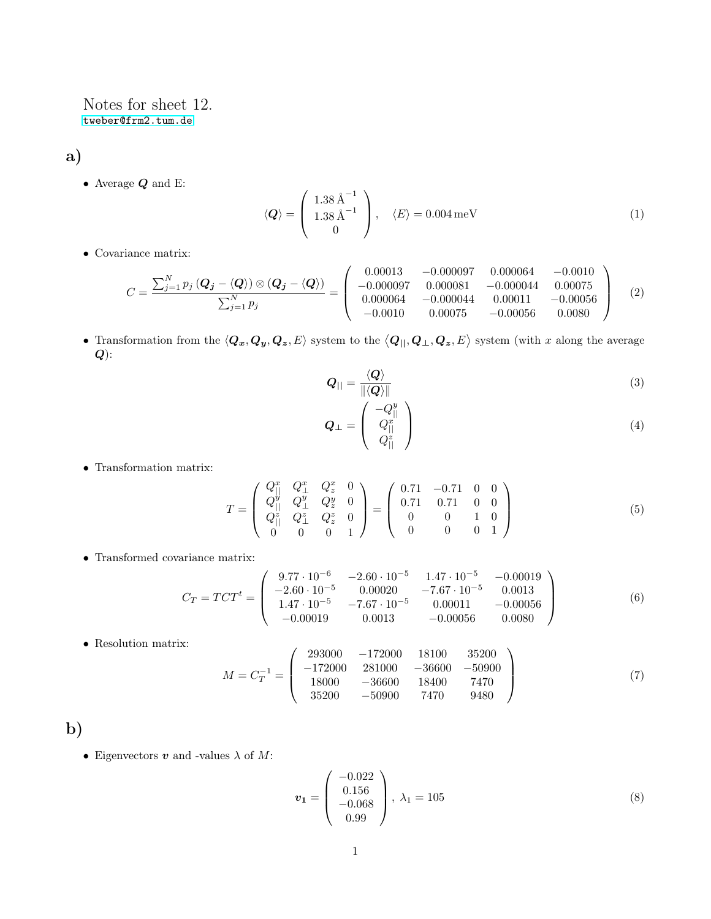Notes for sheet 12. <tweber@frm2.tum.de>

a)

 $\bullet\,$  Average  $\boldsymbol{Q}$  and E:

$$
\langle \mathbf{Q} \rangle = \begin{pmatrix} 1.38 \,\mathrm{\AA}^{-1} \\ 1.38 \,\mathrm{\AA}^{-1} \\ 0 \end{pmatrix}, \quad \langle E \rangle = 0.004 \,\mathrm{meV} \tag{1}
$$

• Covariance matrix:

$$
C = \frac{\sum_{j=1}^{N} p_j (Q_j - \langle Q \rangle) \otimes (Q_j - \langle Q \rangle)}{\sum_{j=1}^{N} p_j} = \begin{pmatrix} 0.00013 & -0.000097 & 0.000064 & -0.0010\\ -0.000097 & 0.000081 & -0.000044 & 0.00075\\ 0.000064 & -0.000044 & 0.00011 & -0.00056\\ -0.0010 & 0.00075 & -0.00056 & 0.0080 \end{pmatrix}
$$
 (2)

• Transformation from the  $\langle \mathbf{Q}_x, \mathbf{Q}_y, \mathbf{Q}_z, E \rangle$  system to the  $\langle \mathbf{Q}_{||}, \mathbf{Q}_{\perp}, \mathbf{Q}_z, E \rangle$  system (with x along the average  $\boldsymbol{Q})$ :

$$
Q_{\parallel} = \frac{\langle Q \rangle}{\|\langle Q \rangle\|} \tag{3}
$$

$$
\mathbf{Q}_{\perp} = \left( \begin{array}{c} -Q_{\parallel}^{y} \\ Q_{\parallel}^{x} \\ Q_{\parallel}^{z} \end{array} \right) \tag{4}
$$

• Transformation matrix:

$$
T = \begin{pmatrix} Q_{||}^{x} & Q_{\perp}^{x} & Q_{z}^{x} & 0 \\ Q_{||}^{y} & Q_{\perp}^{y} & Q_{z}^{y} & 0 \\ Q_{||}^{z} & Q_{\perp}^{z} & Q_{z}^{z} & 0 \\ 0 & 0 & 0 & 1 \end{pmatrix} = \begin{pmatrix} 0.71 & -0.71 & 0 & 0 \\ 0.71 & 0.71 & 0 & 0 \\ 0 & 0 & 1 & 0 \\ 0 & 0 & 0 & 1 \end{pmatrix}
$$
(5)

• Transformed covariance matrix:

$$
C_T = TCT^t = \begin{pmatrix} 9.77 \cdot 10^{-6} & -2.60 \cdot 10^{-5} & 1.47 \cdot 10^{-5} & -0.00019 \\ -2.60 \cdot 10^{-5} & 0.00020 & -7.67 \cdot 10^{-5} & 0.0013 \\ 1.47 \cdot 10^{-5} & -7.67 \cdot 10^{-5} & 0.00011 & -0.00056 \\ -0.00019 & 0.0013 & -0.00056 & 0.0080 \end{pmatrix}
$$
(6)

 $\bullet\,$  Resolution matrix:

$$
M = C_T^{-1} = \begin{pmatrix} 293000 & -172000 & 18100 & 35200 \\ -172000 & 281000 & -36600 & -50900 \\ 18000 & -36600 & 18400 & 7470 \\ 35200 & -50900 & 7470 & 9480 \end{pmatrix}
$$
(7)

b)

 $\bullet\,$  Eigenvectors  $\boldsymbol{v}$  and -values  $\lambda$  of  $M\!$  :

$$
\boldsymbol{v}_1 = \begin{pmatrix} -0.022 \\ 0.156 \\ -0.068 \\ 0.99 \end{pmatrix}, \ \lambda_1 = 105 \tag{8}
$$